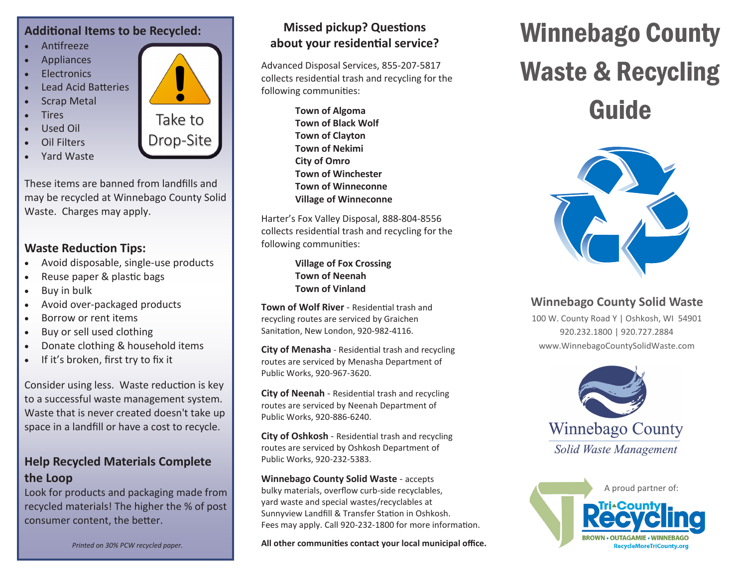#### **Additional Items to be Recycled:**

- Antifreeze
- Appliances
- Electronics
- Lead Acid Batteries
- **Scrap Metal**
- Tires
- Used Oil
- Oil Filters
- Yard Waste

These items are banned from landfills and may be recycled at Winnebago County Solid Waste. Charges may apply.

#### **Waste Reduction Tips:**

- Avoid disposable, single-use products
- Reuse paper & plastic bags
- Buy in bulk
- Avoid over-packaged products
- Borrow or rent items
- Buy or sell used clothing
- Donate clothing & household items
- If it's broken, first try to fix it

Consider using less. Waste reduction is key to a successful waste management system. Waste that is never created doesn't take up space in a landfill or have a cost to recycle.

#### **Help Recycled Materials Complete the Loop**

Look for products and packaging made from recycled materials! The higher the % of post consumer content, the better.

*Printed on 30% PCW recycled paper.*

### **Missed pickup? Questions about your residential service?**

Advanced Disposal Services, 855-207-5817 collects residential trash and recycling for the following communities:

> **Town of Algoma Town of Black Wolf Town of Clayton Town of Nekimi City of Omro Town of Winchester Town of Winneconne Village of Winneconne**

Harter's Fox Valley Disposal, 888-804-8556 collects residential trash and recycling for the following communities:

> **Village of Fox Crossing Town of Neenah Town of Vinland**

**Town of Wolf River** - Residential trash and recycling routes are serviced by Graichen Sanitation, New London, 920-982-4116.

**City of Menasha** - Residential trash and recycling routes are serviced by Menasha Department of Public Works, 920-967-3620.

**City of Neenah** - Residential trash and recycling routes are serviced by Neenah Department of Public Works, 920-886-6240.

**City of Oshkosh** - Residential trash and recycling routes are serviced by Oshkosh Department of Public Works, 920-232-5383.

#### **Winnebago County Solid Waste** - accepts bulky materials, overflow curb-side recyclables, yard waste and special wastes/recyclables at Sunnyview Landfill & Transfer Station in Oshkosh. Fees may apply. Call 920-232-1800 for more information.

**All other communities contact your local municipal office.**

# Winnebago County Waste & Recycling

Guide



### **Winnebago County Solid Waste**

100 W. County Road Y | Oshkosh, WI 54901 920.232.1800 | 920.727.2884 www.WinnebagoCountySolidWaste.com